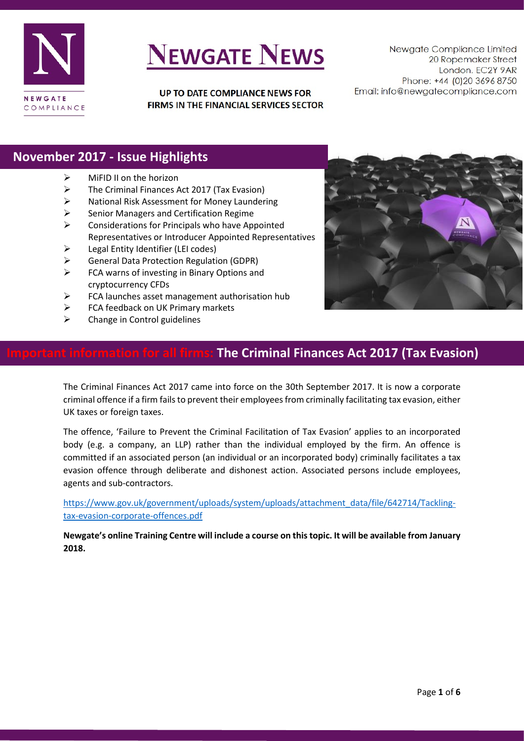

# **NEWGATE NEWS**

UP TO DATE COMPLIANCE NEWS FOR FIRMS IN THE FINANCIAL SERVICES SECTOR

Newgate Compliance Limited 20 Ropemaker Street London. EC2Y 9AR Phone: +44 (0)20 3696 8750 Email: info@newgatecompliance.com

### **November 2017 - Issue Highlights**

- $\triangleright$  MiFID II on the horizon
- $\triangleright$  The Criminal Finances Act 2017 (Tax Evasion)
- $\triangleright$  National Risk Assessment for Money Laundering
- $\triangleright$  Senior Managers and Certification Regime
- $\triangleright$  Considerations for Principals who have Appointed Representatives or Introducer Appointed Representatives
- $\triangleright$  Legal Entity Identifier (LEI codes)
- General Data Protection Regulation (GDPR)
- $\triangleright$  FCA warns of investing in Binary Options and cryptocurrency CFDs
- $\triangleright$  FCA launches asset management authorisation hub
- FCA feedback on UK Primary markets
- $\triangleright$  Change in Control guidelines



### **Inde Criminal Finances Act 2017 (Tax Evasion)**

The Criminal Finances Act 2017 came into force on the 30th September 2017. It is now a corporate criminal offence if a firm fails to prevent their employees from criminally facilitating tax evasion, either UK taxes or foreign taxes.

The offence, 'Failure to Prevent the Criminal Facilitation of Tax Evasion' applies to an incorporated body (e.g. a company, an LLP) rather than the individual employed by the firm. An offence is committed if an associated person (an individual or an incorporated body) criminally facilitates a tax evasion offence through deliberate and dishonest action. Associated persons include employees, agents and sub-contractors.

[https://www.gov.uk/government/uploads/system/uploads/attachment\\_data/file/642714/Tackling](https://www.gov.uk/government/uploads/system/uploads/attachment_data/file/642714/Tackling-tax-evasion-corporate-offences.pdf)[tax-evasion-corporate-offences.pdf](https://www.gov.uk/government/uploads/system/uploads/attachment_data/file/642714/Tackling-tax-evasion-corporate-offences.pdf)

**Newgate's online Training Centre will include a course on this topic. It will be available from January 2018.**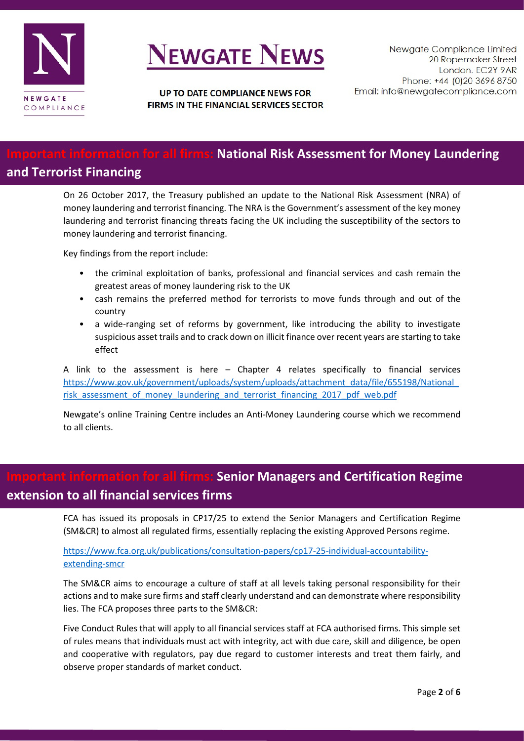

# **VEWGATE NEWS**

UP TO DATE COMPLIANCE NEWS FOR FIRMS IN THE FINANCIAL SERVICES SECTOR

### **All firms: National Risk Assessment for Money Laundering and Terrorist Financing**

On 26 October 2017, the Treasury published an update to the National Risk Assessment (NRA) of money laundering and terrorist financing. The NRA is the Government's assessment of the key money laundering and terrorist financing threats facing the UK including the susceptibility of the sectors to money laundering and terrorist financing.

Key findings from the report include:

- the criminal exploitation of banks, professional and financial services and cash remain the greatest areas of money laundering risk to the UK
- cash remains the preferred method for terrorists to move funds through and out of the country
- a wide-ranging set of reforms by government, like introducing the ability to investigate suspicious asset trails and to crack down on illicit finance over recent years are starting to take effect

A link to the assessment is here – Chapter 4 relates specifically to financial services [https://www.gov.uk/government/uploads/system/uploads/attachment\\_data/file/655198/National\\_](https://www.gov.uk/government/uploads/system/uploads/attachment_data/file/655198/National_risk_assessment_of_money_laundering_and_terrorist_financing_2017_pdf_web.pdf) risk assessment of money laundering and terrorist financing 2017 pdf web.pdf

Newgate's online Training Centre includes an Anti-Money Laundering course which we recommend to all clients.

## **Important information for all firms: Senior Managers and Certification Regime extension to all financial services firms**

FCA has issued its proposals in CP17/25 to extend the Senior Managers and Certification Regime (SM&CR) to almost all regulated firms, essentially replacing the existing Approved Persons regime.

#### [https://www.fca.org.uk/publications/consultation-papers/cp17-25-individual-accountability](https://www.fca.org.uk/publications/consultation-papers/cp17-25-individual-accountability-extending-smcr)[extending-smcr](https://www.fca.org.uk/publications/consultation-papers/cp17-25-individual-accountability-extending-smcr)

The SM&CR aims to encourage a culture of staff at all levels taking personal responsibility for their actions and to make sure firms and staff clearly understand and can demonstrate where responsibility lies. The FCA proposes three parts to the SM&CR:

Five Conduct Rules that will apply to all financial services staff at FCA authorised firms. This simple set of rules means that individuals must act with integrity, act with due care, skill and diligence, be open and cooperative with regulators, pay due regard to customer interests and treat them fairly, and observe proper standards of market conduct.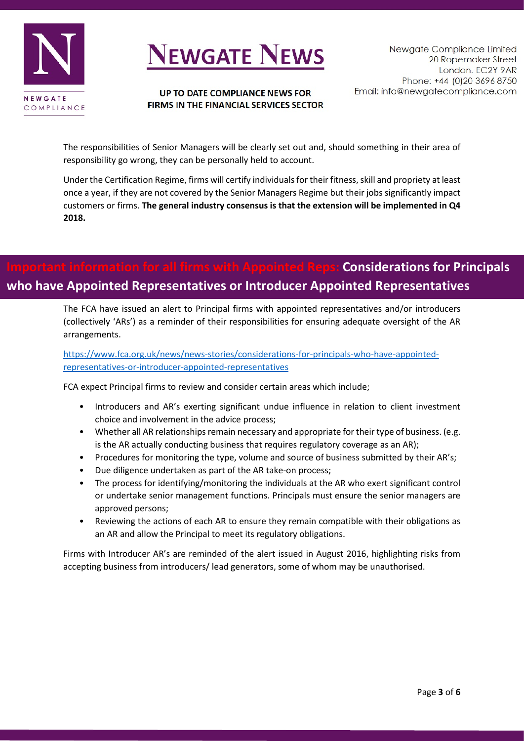

# **VEWGATE NEWS**

#### UP TO DATE COMPLIANCE NEWS FOR FIRMS IN THE FINANCIAL SERVICES SECTOR

The responsibilities of Senior Managers will be clearly set out and, should something in their area of responsibility go wrong, they can be personally held to account.

Under the Certification Regime, firms will certify individuals for their fitness, skill and propriety at least once a year, if they are not covered by the Senior Managers Regime but their jobs significantly impact customers or firms. **The general industry consensus is that the extension will be implemented in Q4 2018.**

## **Considerations for Principals who have Appointed Representatives or Introducer Appointed Representatives**

The FCA have issued an alert to Principal firms with appointed representatives and/or introducers (collectively 'ARs') as a reminder of their responsibilities for ensuring adequate oversight of the AR arrangements.

[https://www.fca.org.uk/news/news-stories/considerations-for-principals-who-have-appointed](https://www.fca.org.uk/news/news-stories/considerations-for-principals-who-have-appointed-representatives-or-introducer-appointed-representatives)[representatives-or-introducer-appointed-representatives](https://www.fca.org.uk/news/news-stories/considerations-for-principals-who-have-appointed-representatives-or-introducer-appointed-representatives)

FCA expect Principal firms to review and consider certain areas which include;

- Introducers and AR's exerting significant undue influence in relation to client investment choice and involvement in the advice process;
- Whether all AR relationships remain necessary and appropriate for their type of business. (e.g. is the AR actually conducting business that requires regulatory coverage as an AR);
- Procedures for monitoring the type, volume and source of business submitted by their AR's;
- Due diligence undertaken as part of the AR take-on process;
- The process for identifying/monitoring the individuals at the AR who exert significant control or undertake senior management functions. Principals must ensure the senior managers are approved persons;
- Reviewing the actions of each AR to ensure they remain compatible with their obligations as an AR and allow the Principal to meet its regulatory obligations.

Firms with Introducer AR's are reminded of the [alert](https://www.fca.org.uk/news/news-stories/investment-advisers-responsibilities-accepting-business-unauthorised-introducers-lead-generators) issued in August 2016, highlighting risks from accepting business from introducers/ lead generators, some of whom may be unauthorised.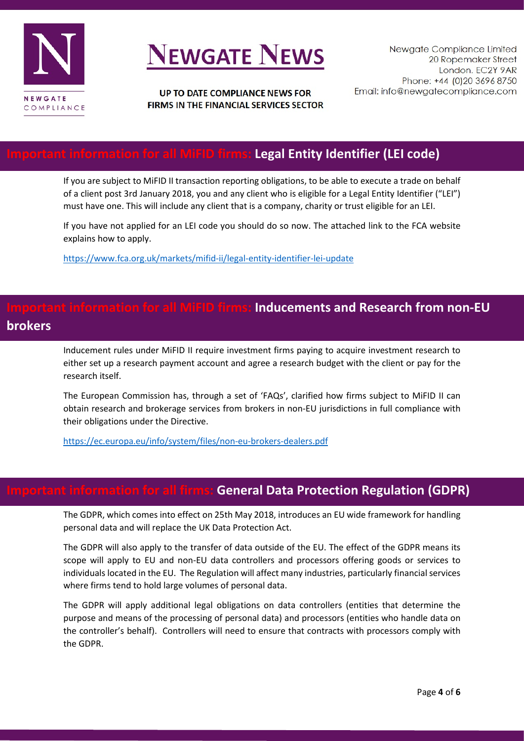

# **NEWGATE NEWS**

#### UP TO DATE COMPLIANCE NEWS FOR FIRMS IN THE FINANCIAL SERVICES SECTOR

### **All MiFID firms: Legal Entity Identifier (LEI code)**

If you are subject to MiFID II transaction reporting obligations, to be able to execute a trade on behalf of a client post 3rd January 2018, you and any client who is eligible for a Legal Entity Identifier ("LEI") must have one. This will include any client that is a company, charity or trust eligible for an LEI.

If you have not applied for an LEI code you should do so now. The attached link to the FCA website explains how to apply.

<https://www.fca.org.uk/markets/mifid-ii/legal-entity-identifier-lei-update>

## **Formation for all MiFID firms: Inducements and Research from non-EU brokers**

Inducement rules under MiFID II require investment firms paying to acquire investment research to either set up a research payment account and agree a research budget with the client or pay for the research itself.

The European Commission has, through a set of 'FAQs', clarified how firms subject to MiFID II can obtain research and brokerage services from brokers in non-EU jurisdictions in full compliance with their obligations under the Directive.

<https://ec.europa.eu/info/system/files/non-eu-brokers-dealers.pdf>

#### **for all firms: General Data Protection Regulation (GDPR)**

The GDPR, which comes into effect on 25th May 2018, introduces an EU wide framework for handling personal data and will replace the UK Data Protection Act.

The GDPR will also apply to the transfer of data outside of the EU. The effect of the GDPR means its scope will apply to EU and non-EU data controllers and processors offering goods or services to individuals located in the EU. The Regulation will affect many industries, particularly financial services where firms tend to hold large volumes of personal data.

The GDPR will apply additional legal obligations on data controllers (entities that determine the purpose and means of the processing of personal data) and processors (entities who handle data on the controller's behalf). Controllers will need to ensure that contracts with processors comply with the GDPR.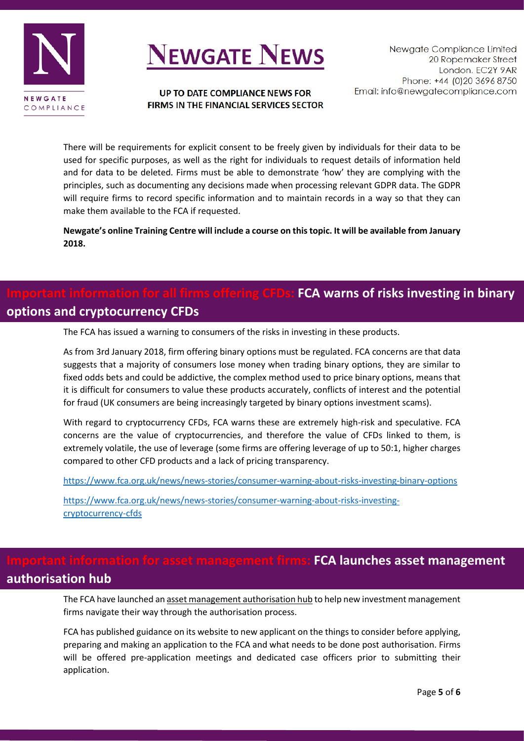

# **NEWGATE NEWS**

COMPLIANCE

UP TO DATE COMPLIANCE NEWS FOR FIRMS IN THE FINANCIAL SERVICES SECTOR

There will be requirements for explicit consent to be freely given by individuals for their data to be used for specific purposes, as well as the right for individuals to request details of information held and for data to be deleted. Firms must be able to demonstrate 'how' they are complying with the principles, such as documenting any decisions made when processing relevant GDPR data. The GDPR will require firms to record specific information and to maintain records in a way so that they can make them available to the FCA if requested.

**Newgate's online Training Centre will include a course on this topic. It will be available from January 2018.**

## **If firms offering CFDs: FCA warns of risks investing in binary options and cryptocurrency CFDs**

The FCA has issued a warning to consumers of the risks in investing in these products.

As from 3rd January 2018, firm offering binary options must be regulated. FCA concerns are that data suggests that a majority of consumers lose money when trading binary options, they are similar to fixed odds bets and could be addictive, the complex method used to price binary options, means that it is difficult for consumers to value these products accurately, conflicts of interest and the potential for fraud (UK consumers are being increasingly targeted by binary options investment scams).

With regard to cryptocurrency CFDs, FCA warns these are extremely high-risk and speculative. FCA concerns are the value of cryptocurrencies, and therefore the value of CFDs linked to them, is extremely volatile, the use of leverage (some firms are offering leverage of up to 50:1, higher charges compared to other CFD products and a lack of pricing transparency.

<https://www.fca.org.uk/news/news-stories/consumer-warning-about-risks-investing-binary-options>

[https://www.fca.org.uk/news/news-stories/consumer-warning-about-risks-investing](https://www.fca.org.uk/news/news-stories/consumer-warning-about-risks-investing-cryptocurrency-cfds)[cryptocurrency-cfds](https://www.fca.org.uk/news/news-stories/consumer-warning-about-risks-investing-cryptocurrency-cfds)

### **Information for asset management firms: FCA launches asset management authorisation hub**

The FCA have launched a[n asset management authorisation hub](https://www.fca.org.uk/firms/asset-managers-authorisation) to help new investment management firms navigate their way through the authorisation process.

FCA has published guidance on its website to new applicant on the things to consider before applying, preparing and making an application to the FCA and what needs to be done post authorisation. Firms will be offered pre-application meetings and dedicated case officers prior to submitting their application.